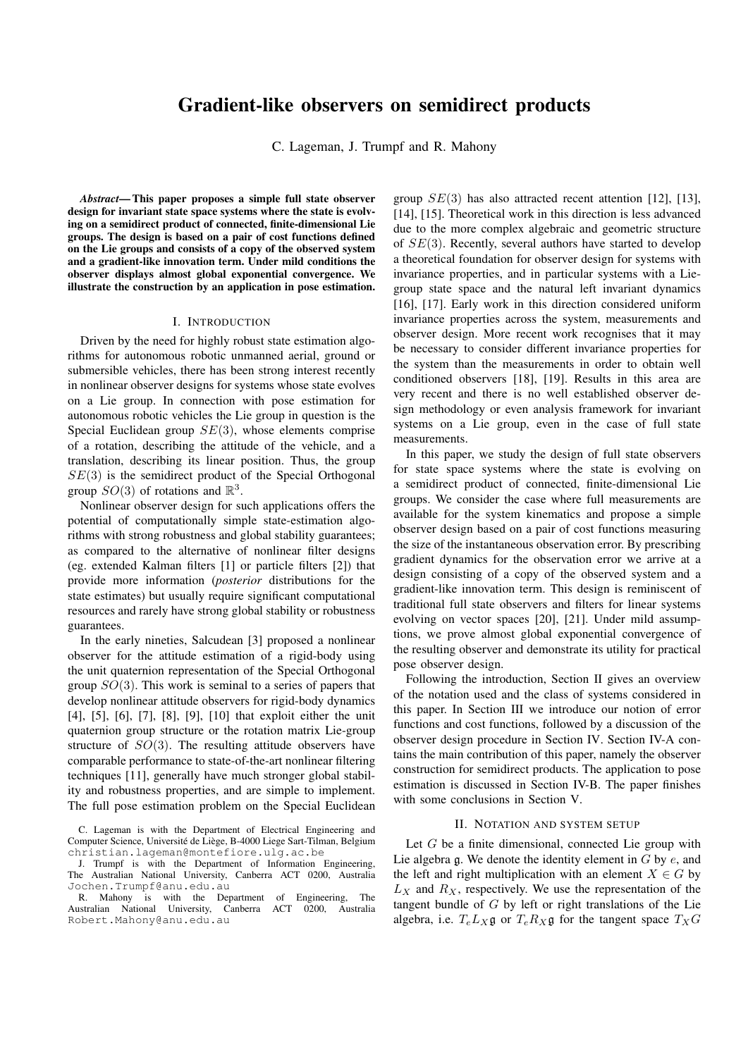# Gradient-like observers on semidirect products

C. Lageman, J. Trumpf and R. Mahony

*Abstract*— This paper proposes a simple full state observer design for invariant state space systems where the state is evolving on a semidirect product of connected, finite-dimensional Lie groups. The design is based on a pair of cost functions defined on the Lie groups and consists of a copy of the observed system and a gradient-like innovation term. Under mild conditions the observer displays almost global exponential convergence. We illustrate the construction by an application in pose estimation.

## I. INTRODUCTION

Driven by the need for highly robust state estimation algorithms for autonomous robotic unmanned aerial, ground or submersible vehicles, there has been strong interest recently in nonlinear observer designs for systems whose state evolves on a Lie group. In connection with pose estimation for autonomous robotic vehicles the Lie group in question is the Special Euclidean group  $SE(3)$ , whose elements comprise of a rotation, describing the attitude of the vehicle, and a translation, describing its linear position. Thus, the group  $SE(3)$  is the semidirect product of the Special Orthogonal group  $SO(3)$  of rotations and  $\mathbb{R}^3$ .

Nonlinear observer design for such applications offers the potential of computationally simple state-estimation algorithms with strong robustness and global stability guarantees; as compared to the alternative of nonlinear filter designs (eg. extended Kalman filters [1] or particle filters [2]) that provide more information (*posterior* distributions for the state estimates) but usually require significant computational resources and rarely have strong global stability or robustness guarantees.

In the early nineties, Salcudean [3] proposed a nonlinear observer for the attitude estimation of a rigid-body using the unit quaternion representation of the Special Orthogonal group  $SO(3)$ . This work is seminal to a series of papers that develop nonlinear attitude observers for rigid-body dynamics [4], [5], [6], [7], [8], [9], [10] that exploit either the unit quaternion group structure or the rotation matrix Lie-group structure of  $SO(3)$ . The resulting attitude observers have comparable performance to state-of-the-art nonlinear filtering techniques [11], generally have much stronger global stability and robustness properties, and are simple to implement. The full pose estimation problem on the Special Euclidean

R. Mahony is with the Department of Engineering, The Australian National University, Canberra ACT 0200, Australia Robert.Mahony@anu.edu.au

group  $SE(3)$  has also attracted recent attention [12], [13], [14], [15]. Theoretical work in this direction is less advanced due to the more complex algebraic and geometric structure of  $SE(3)$ . Recently, several authors have started to develop a theoretical foundation for observer design for systems with invariance properties, and in particular systems with a Liegroup state space and the natural left invariant dynamics [16], [17]. Early work in this direction considered uniform invariance properties across the system, measurements and observer design. More recent work recognises that it may be necessary to consider different invariance properties for the system than the measurements in order to obtain well conditioned observers [18], [19]. Results in this area are very recent and there is no well established observer design methodology or even analysis framework for invariant systems on a Lie group, even in the case of full state measurements.

In this paper, we study the design of full state observers for state space systems where the state is evolving on a semidirect product of connected, finite-dimensional Lie groups. We consider the case where full measurements are available for the system kinematics and propose a simple observer design based on a pair of cost functions measuring the size of the instantaneous observation error. By prescribing gradient dynamics for the observation error we arrive at a design consisting of a copy of the observed system and a gradient-like innovation term. This design is reminiscent of traditional full state observers and filters for linear systems evolving on vector spaces [20], [21]. Under mild assumptions, we prove almost global exponential convergence of the resulting observer and demonstrate its utility for practical pose observer design.

Following the introduction, Section II gives an overview of the notation used and the class of systems considered in this paper. In Section III we introduce our notion of error functions and cost functions, followed by a discussion of the observer design procedure in Section IV. Section IV-A contains the main contribution of this paper, namely the observer construction for semidirect products. The application to pose estimation is discussed in Section IV-B. The paper finishes with some conclusions in Section V.

#### II. NOTATION AND SYSTEM SETUP

Let  $G$  be a finite dimensional, connected Lie group with Lie algebra  $\mathfrak q$ . We denote the identity element in G by  $e$ , and the left and right multiplication with an element  $X \in G$  by  $L_X$  and  $R_X$ , respectively. We use the representation of the tangent bundle of  $G$  by left or right translations of the Lie algebra, i.e.  $T_e L_X \mathfrak{g}$  or  $T_e R_X \mathfrak{g}$  for the tangent space  $T_X G$ 

C. Lageman is with the Department of Electrical Engineering and Computer Science, Université de Liège, B-4000 Liege Sart-Tilman, Belgium christian.lageman@montefiore.ulg.ac.be

J. Trumpf is with the Department of Information Engineering, The Australian National University, Canberra ACT 0200, Australia Jochen.Trumpf@anu.edu.au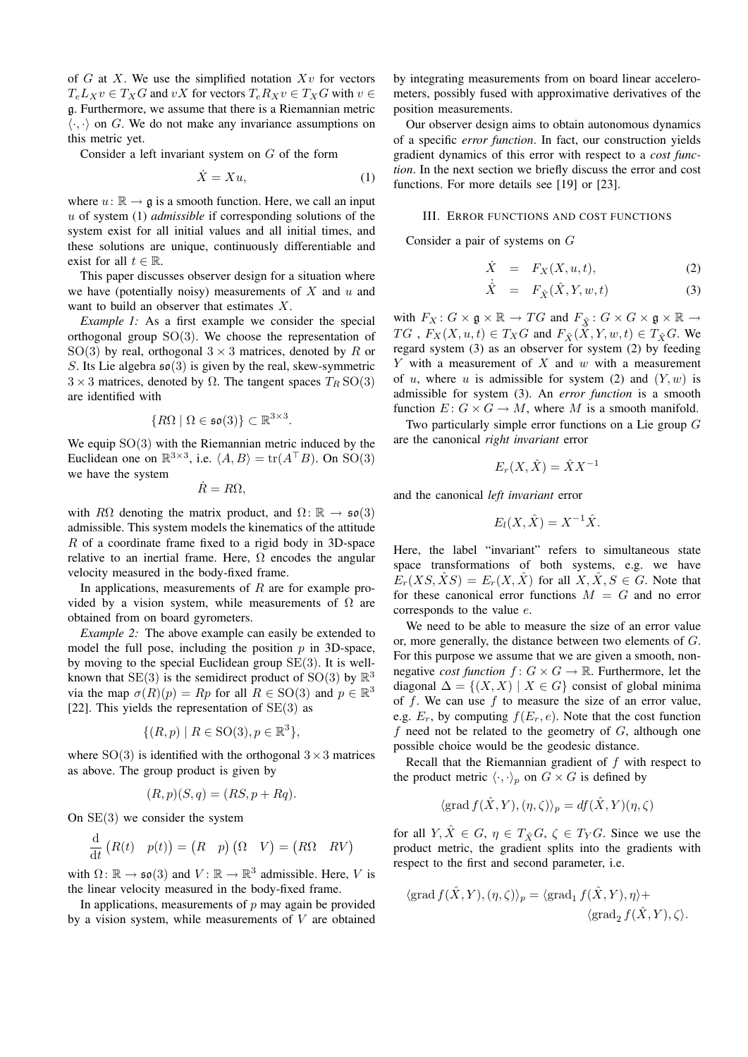of  $G$  at  $X$ . We use the simplified notation  $Xv$  for vectors  $T_eL_Xv \in T_XG$  and  $vX$  for vectors  $T_eR_Xv \in T_XG$  with  $v \in$ g. Furthermore, we assume that there is a Riemannian metric  $\langle \cdot, \cdot \rangle$  on G. We do not make any invariance assumptions on this metric yet.

Consider a left invariant system on G of the form

$$
\dot{X} = Xu,\tag{1}
$$

where  $u: \mathbb{R} \to \mathfrak{g}$  is a smooth function. Here, we call an input u of system (1) *admissible* if corresponding solutions of the system exist for all initial values and all initial times, and these solutions are unique, continuously differentiable and exist for all  $t \in \mathbb{R}$ .

This paper discusses observer design for a situation where we have (potentially noisy) measurements of  $X$  and  $u$  and want to build an observer that estimates X.

*Example 1:* As a first example we consider the special orthogonal group  $SO(3)$ . We choose the representation of SO(3) by real, orthogonal  $3 \times 3$  matrices, denoted by R or S. Its Lie algebra  $\mathfrak{so}(3)$  is given by the real, skew-symmetric  $3 \times 3$  matrices, denoted by  $\Omega$ . The tangent spaces  $T_R$  SO(3) are identified with

$$
\{R\Omega \mid \Omega \in \mathfrak{so}(3)\} \subset \mathbb{R}^{3 \times 3}.
$$

We equip  $SO(3)$  with the Riemannian metric induced by the Euclidean one on  $\mathbb{R}^{3\times3}$ , i.e.  $\langle A, B \rangle = \text{tr}(A^\top B)$ . On SO(3) we have the system

 $\dot{R} = R\Omega,$ 

with R $\Omega$  denoting the matrix product, and  $\Omega \colon \mathbb{R} \to \mathfrak{so}(3)$ admissible. This system models the kinematics of the attitude R of a coordinate frame fixed to a rigid body in 3D-space relative to an inertial frame. Here,  $\Omega$  encodes the angular velocity measured in the body-fixed frame.

In applications, measurements of  $R$  are for example provided by a vision system, while measurements of  $\Omega$  are obtained from on board gyrometers.

*Example 2:* The above example can easily be extended to model the full pose, including the position  $p$  in 3D-space, by moving to the special Euclidean group SE(3). It is wellknown that SE(3) is the semidirect product of SO(3) by  $\mathbb{R}^3$ via the map  $\sigma(R)(p) = Rp$  for all  $R \in SO(3)$  and  $p \in \mathbb{R}^3$ [22]. This yields the representation of  $SE(3)$  as

$$
\{(R, p) \mid R \in \text{SO}(3), p \in \mathbb{R}^3\},\
$$

where  $SO(3)$  is identified with the orthogonal  $3 \times 3$  matrices as above. The group product is given by

$$
(R, p)(S, q) = (RS, p + Rq).
$$

On  $SE(3)$  we consider the system

$$
\frac{\mathrm{d}}{\mathrm{d}t}\left(R(t) \quad p(t)\right) = \begin{pmatrix} R & p \end{pmatrix} \begin{pmatrix} \Omega & V \end{pmatrix} = \begin{pmatrix} R\Omega & RV \end{pmatrix}
$$

with  $\Omega \colon \mathbb{R} \to \mathfrak{so}(3)$  and  $V \colon \mathbb{R} \to \mathbb{R}^3$  admissible. Here, V is the linear velocity measured in the body-fixed frame.

In applications, measurements of  $p$  may again be provided by a vision system, while measurements of  $V$  are obtained

by integrating measurements from on board linear accelerometers, possibly fused with approximative derivatives of the position measurements.

Our observer design aims to obtain autonomous dynamics of a specific *error function*. In fact, our construction yields gradient dynamics of this error with respect to a *cost function*. In the next section we briefly discuss the error and cost functions. For more details see [19] or [23].

# III. ERROR FUNCTIONS AND COST FUNCTIONS

Consider a pair of systems on G

$$
\dot{X} = F_X(X, u, t), \tag{2}
$$

$$
\dot{\hat{X}} = F_{\hat{X}}(\hat{X}, Y, w, t) \tag{3}
$$

with  $F_X: G \times \mathfrak{g} \times \mathbb{R} \to TG$  and  $F_{\hat{X}}: G \times G \times \mathfrak{g} \times \mathbb{R} \to$ TG,  $F_X(X, u, t) \in T_XG$  and  $F_{\hat{X}}(X, Y, w, t) \in T_{\hat{X}}G$ . We regard system (3) as an observer for system (2) by feeding  $Y$  with a measurement of  $X$  and  $w$  with a measurement of u, where u is admissible for system (2) and  $(Y, w)$  is admissible for system (3). An *error function* is a smooth function  $E: G \times G \to M$ , where M is a smooth manifold.

Two particularly simple error functions on a Lie group G are the canonical *right invariant* error

$$
E_r(X, \hat{X}) = \hat{X} X^{-1}
$$

and the canonical *left invariant* error

$$
E_l(X, \hat{X}) = X^{-1} \hat{X}.
$$

Here, the label "invariant" refers to simultaneous state space transformations of both systems, e.g. we have  $E_r(XS, \hat{X}S) = E_r(X, \hat{X})$  for all  $X, \hat{X}, S \in G$ . Note that for these canonical error functions  $M = G$  and no error corresponds to the value e.

We need to be able to measure the size of an error value or, more generally, the distance between two elements of G. For this purpose we assume that we are given a smooth, nonnegative *cost function*  $f: G \times G \to \mathbb{R}$ . Furthermore, let the diagonal  $\Delta = \{(X, X) | X \in G\}$  consist of global minima of f. We can use f to measure the size of an error value, e.g.  $E_r$ , by computing  $f(E_r, e)$ . Note that the cost function f need not be related to the geometry of  $G$ , although one possible choice would be the geodesic distance.

Recall that the Riemannian gradient of  $f$  with respect to the product metric  $\langle \cdot, \cdot \rangle_p$  on  $G \times G$  is defined by

$$
\langle \operatorname{grad} f(\hat{X}, Y), (\eta, \zeta) \rangle_p = df(\hat{X}, Y)(\eta, \zeta)
$$

for all  $Y, \hat{X} \in G$ ,  $\eta \in T_{\hat{X}}G$ ,  $\zeta \in T_YG$ . Since we use the product metric, the gradient splits into the gradients with respect to the first and second parameter, i.e.

$$
\langle \operatorname{grad} f(\hat{X}, Y), (\eta, \zeta) \rangle_p = \langle \operatorname{grad}_1 f(\hat{X}, Y), \eta \rangle +
$$

$$
\langle \operatorname{grad}_2 f(\hat{X}, Y), \zeta \rangle.
$$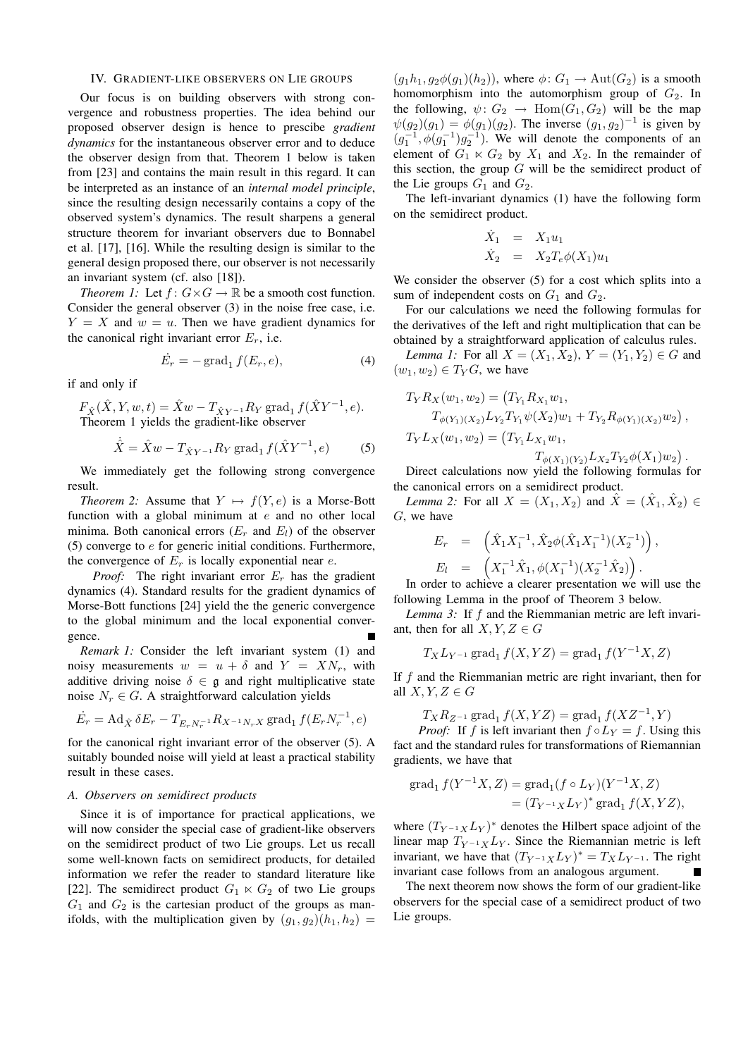## IV. GRADIENT-LIKE OBSERVERS ON LIE GROUPS

Our focus is on building observers with strong convergence and robustness properties. The idea behind our proposed observer design is hence to prescibe *gradient dynamics* for the instantaneous observer error and to deduce the observer design from that. Theorem 1 below is taken from [23] and contains the main result in this regard. It can be interpreted as an instance of an *internal model principle*, since the resulting design necessarily contains a copy of the observed system's dynamics. The result sharpens a general structure theorem for invariant observers due to Bonnabel et al. [17], [16]. While the resulting design is similar to the general design proposed there, our observer is not necessarily an invariant system (cf. also [18]).

*Theorem 1:* Let  $f: G \times G \to \mathbb{R}$  be a smooth cost function. Consider the general observer (3) in the noise free case, i.e.  $Y = X$  and  $w = u$ . Then we have gradient dynamics for the canonical right invariant error  $E_r$ , i.e.

$$
\dot{E}_r = -\operatorname{grad}_1 f(E_r, e),\tag{4}
$$

if and only if

 $F_{\hat{X}}(\hat{X}, Y, w, t) = \hat{X}w - T_{\hat{X}Y^{-1}}R_Y \operatorname{grad}_1 f(\hat{X}Y^{-1}, e).$ Theorem 1 yields the gradient-like observer

$$
\dot{\hat{X}} = \hat{X}w - T_{\hat{X}Y^{-1}}R_Y \,\text{grad}_1 \, f(\hat{X}Y^{-1}, e) \tag{5}
$$

We immediately get the following strong convergence result.

*Theorem 2:* Assume that  $Y \mapsto f(Y, e)$  is a Morse-Bott function with a global minimum at e and no other local minima. Both canonical errors  $(E_r$  and  $E_l$ ) of the observer (5) converge to  $e$  for generic initial conditions. Furthermore, the convergence of  $E_r$  is locally exponential near  $e$ .

*Proof:* The right invariant error  $E_r$  has the gradient dynamics (4). Standard results for the gradient dynamics of Morse-Bott functions [24] yield the the generic convergence to the global minimum and the local exponential convergence.

*Remark 1:* Consider the left invariant system (1) and noisy measurements  $w = u + \delta$  and  $Y = XN_r$ , with additive driving noise  $\delta \in \mathfrak{g}$  and right multiplicative state noise  $N_r \in G$ . A straightforward calculation yields

$$
\dot{E}_r = \text{Ad}_{\hat{X}} \,\delta E_r - T_{E_r N_r^{-1}} R_{X^{-1} N_r X} \,\text{grad}_1 \, f(E_r N_r^{-1}, e)
$$

for the canonical right invariant error of the observer (5). A suitably bounded noise will yield at least a practical stability result in these cases.

#### *A. Observers on semidirect products*

Since it is of importance for practical applications, we will now consider the special case of gradient-like observers on the semidirect product of two Lie groups. Let us recall some well-known facts on semidirect products, for detailed information we refer the reader to standard literature like [22]. The semidirect product  $G_1 \ltimes G_2$  of two Lie groups  $G_1$  and  $G_2$  is the cartesian product of the groups as manifolds, with the multiplication given by  $(q_1, q_2)(h_1, h_2)$  =

 $(g_1h_1, g_2\phi(g_1)(h_2))$ , where  $\phi: G_1 \to \text{Aut}(G_2)$  is a smooth homomorphism into the automorphism group of  $G_2$ . In the following,  $\psi: G_2 \to \text{Hom}(G_1, G_2)$  will be the map  $\psi(g_2)(g_1) = \phi(g_1)(g_2)$ . The inverse  $(g_1, g_2)^{-1}$  is given by  $(g_1^{-1}, \phi(g_1^{-1})g_2^{-1})$ . We will denote the components of an element of  $G_1 \ltimes G_2$  by  $X_1$  and  $X_2$ . In the remainder of this section, the group  $G$  will be the semidirect product of the Lie groups  $G_1$  and  $G_2$ .

The left-invariant dynamics (1) have the following form on the semidirect product.

$$
\dot{X}_1 = X_1 u_1
$$
  
\n
$$
\dot{X}_2 = X_2 T_e \phi(X_1) u_1
$$

We consider the observer (5) for a cost which splits into a sum of independent costs on  $G_1$  and  $G_2$ .

For our calculations we need the following formulas for the derivatives of the left and right multiplication that can be obtained by a straightforward application of calculus rules.

*Lemma 1:* For all  $X = (X_1, X_2), Y = (Y_1, Y_2) \in G$  and  $(w_1, w_2) \in T_Y G$ , we have

$$
T_Y R_X(w_1, w_2) = (T_{Y_1} R_{X_1} w_1, T_{\phi(Y_1)(X_2)} L_{Y_2} T_{Y_1} \psi(X_2) w_1 + T_{Y_2} R_{\phi(Y_1)(X_2)} w_2), T_Y L_X(w_1, w_2) = (T_{Y_1} L_{X_1} w_1,
$$

 $T_{\phi(X_1)(Y_2)} L_{X_2} T_{Y_2} \phi(X_1) w_2$ .

Direct calculations now yield the following formulas for the canonical errors on a semidirect product.

*Lemma 2:* For all  $X = (X_1, X_2)$  and  $\hat{X} = (\hat{X}_1, \hat{X}_2)$ G, we have

$$
E_r = \left(\hat{X}_1 X_1^{-1}, \hat{X}_2 \phi(\hat{X}_1 X_1^{-1})(X_2^{-1})\right),
$$
  
\n
$$
E_l = \left(X_1^{-1} \hat{X}_1, \phi(X_1^{-1})(X_2^{-1} \hat{X}_2)\right).
$$

In order to achieve a clearer presentation we will use the following Lemma in the proof of Theorem 3 below.

*Lemma 3:* If f and the Riemmanian metric are left invariant, then for all  $X, Y, Z \in G$ 

$$
T_X L_{Y^{-1}} \operatorname{grad}_1 f(X, YZ) = \operatorname{grad}_1 f(Y^{-1}X, Z)
$$

If  $f$  and the Riemmanian metric are right invariant, then for all  $X, Y, Z \in G$ 

$$
T_X R_{Z^{-1}} \operatorname{grad}_1 f(X, YZ) = \operatorname{grad}_1 f(XZ^{-1}, Y)
$$

*Proof:* If f is left invariant then  $f \circ L_Y = f$ . Using this fact and the standard rules for transformations of Riemannian gradients, we have that

$$
\operatorname{grad}_{1} f(Y^{-1}X, Z) = \operatorname{grad}_{1}(f \circ L_{Y})(Y^{-1}X, Z)
$$

$$
= (T_{Y^{-1}X}L_{Y})^{*} \operatorname{grad}_{1} f(X, YZ),
$$

where  $(T_{Y^{-1}X}L_Y)^*$  denotes the Hilbert space adjoint of the linear map  $T_{Y^{-1}X}L_Y$ . Since the Riemannian metric is left invariant, we have that  $(T_{Y^{-1}X}L_Y)^* = T_XL_{Y^{-1}}$ . The right invariant case follows from an analogous argument.  $\blacksquare$ 

The next theorem now shows the form of our gradient-like observers for the special case of a semidirect product of two Lie groups.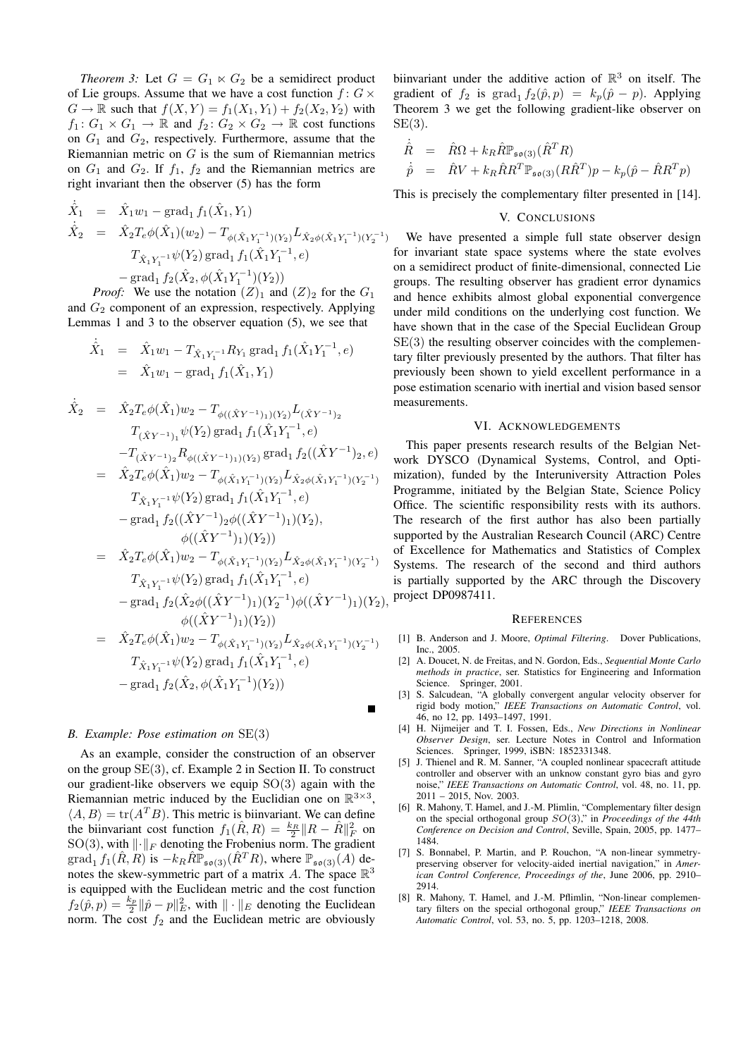*Theorem 3:* Let  $G = G_1 \ltimes G_2$  be a semidirect product of Lie groups. Assume that we have a cost function  $f: G \times$  $G \to \mathbb{R}$  such that  $f(X, Y) = f_1(X_1, Y_1) + f_2(X_2, Y_2)$  with  $f_1: G_1 \times G_1 \to \mathbb{R}$  and  $f_2: G_2 \times G_2 \to \mathbb{R}$  cost functions on  $G_1$  and  $G_2$ , respectively. Furthermore, assume that the Riemannian metric on  $G$  is the sum of Riemannian metrics on  $G_1$  and  $G_2$ . If  $f_1$ ,  $f_2$  and the Riemannian metrics are right invariant then the observer (5) has the form

$$
\dot{\hat{X}}_1 = \hat{X}_1 w_1 - \text{grad}_1 f_1(\hat{X}_1, Y_1)
$$
\n
$$
\dot{\hat{X}}_2 = \hat{X}_2 T_e \phi(\hat{X}_1)(w_2) - T_{\phi(\hat{X}_1 Y_1^{-1})(Y_2)} L_{\hat{X}_2 \phi(\hat{X}_1 Y_1^{-1})(Y_2^{-1})}
$$
\n
$$
T_{\hat{X}_1 Y_1^{-1}} \psi(Y_2) \text{ grad}_1 f_1(\hat{X}_1 Y_1^{-1}, e)
$$
\n
$$
- \text{grad}_1 f_2(\hat{X}_2, \phi(\hat{X}_1 Y_1^{-1})(Y_2))
$$

*Proof:* We use the notation  $(Z)_1$  and  $(Z)_2$  for the  $G_1$ and  $G_2$  component of an expression, respectively. Applying Lemmas 1 and 3 to the observer equation (5), we see that

$$
\dot{\hat{X}}_1 = \hat{X}_1 w_1 - T_{\hat{X}_1 Y_1^{-1}} R_{Y_1} \text{grad}_1 f_1(\hat{X}_1 Y_1^{-1}, e)
$$
  
=  $\hat{X}_1 w_1 - \text{grad}_1 f_1(\hat{X}_1, Y_1)$ 

$$
\begin{array}{rcl}\n\dot{\hat{X}}_2 &=& \hat{X}_2 T_e \phi(\hat{X}_1) w_2 - T_{\phi((\hat{X}Y^{-1})_1)(Y_2)} L_{(\hat{X}Y^{-1})_2} \\
& & -T_{(\hat{X}Y^{-1})_1} \psi(Y_2) \operatorname{grad}_1 f_1(\hat{X}_1 Y_1^{-1}, e) \\
&-T_{(\hat{X}Y^{-1})_2} R_{\phi((\hat{X}Y^{-1})_1)(Y_2)} \operatorname{grad}_1 f_2((\hat{X}Y^{-1})_2, e) \\
&=& \hat{X}_2 T_e \phi(\hat{X}_1) w_2 - T_{\phi(\hat{X}_1 Y_1^{-1})(Y_2)} L_{\hat{X}_2 \phi(\hat{X}_1 Y_1^{-1})(Y_2^{-1})} \\
& & -T_{\hat{X}_1 Y_1^{-1}} \psi(Y_2) \operatorname{grad}_1 f_1(\hat{X}_1 Y_1^{-1}, e) \\
&- \operatorname{grad}_1 f_2((\hat{X}Y^{-1})_2 \phi((\hat{X}Y^{-1})_1)(Y_2), \\
& & \phi((\hat{X}Y^{-1})_1)(Y_2)) \\
&=& \hat{X}_2 T_e \phi(\hat{X}_1) w_2 - T_{\phi(\hat{X}_1 Y_1^{-1})(Y_2)} L_{\hat{X}_2 \phi(\hat{X}_1 Y_1^{-1})(Y_2^{-1})} \\
& & -T_{\hat{X}_1 Y_1^{-1}} \psi(Y_2) \operatorname{grad}_1 f_1(\hat{X}_1 Y_1^{-1}, e) \\
&- \operatorname{grad}_1 f_2(\hat{X}_2 \phi((\hat{X}Y^{-1})_1)(Y_2^{-1}) \phi((\hat{X}Y^{-1})_1)(Y_2), \\
& & \phi((\hat{X}Y^{-1})_1)(Y_2)) \\
&=& \hat{X}_2 T_e \phi(\hat{X}_1) w_2 - T_{\phi(\hat{X}_1 Y_1^{-1})(Y_2)} L_{\hat{X}_2 \phi(\hat{X}_1 Y_1^{-1})(Y_2^{-1})} \\
& & -\operatorname{grad}_1 f_2(\hat{X}_2, \phi(\hat{X}_1 Y_1^{-1})(Y_2)) \\
&- \operatorname{grad}_1 f_2(\hat{X}_2, \phi(\hat{X}_1 Y_1^{-1})(Y_2))\n\
$$

# *B. Example: Pose estimation on* SE(3)

As an example, consider the construction of an observer on the group SE(3), cf. Example 2 in Section II. To construct our gradient-like observers we equip  $SO(3)$  again with the Riemannian metric induced by the Euclidian one on  $\mathbb{R}^{3\times3}$ ,  $\langle A, B \rangle = \text{tr}(A^T B)$ . This metric is biinvariant. We can define the biinvariant cost function  $f_1(\hat{R}, R) = \frac{k_R}{2} ||R - \hat{R}||_F^2$  on SO(3), with  $\lVert \cdot \rVert_F$  denoting the Frobenius norm. The gradient  $\mathrm{grad}_1 f_1(\hat{R}, R)$  is  $-k_R \hat{R} \mathbb{P}_{\mathfrak{so}(3)}(\hat{R}^T R)$ , where  $\mathbb{P}_{\mathfrak{so}(3)}(A)$  denotes the skew-symmetric part of a matrix A. The space  $\mathbb{R}^3$ is equipped with the Euclidean metric and the cost function  $f_2(\hat{p}, p) = \frac{k_p}{2} ||\hat{p} - p||_E^2$ , with  $|| \cdot ||_E$  denoting the Euclidean norm. The cost  $f_2$  and the Euclidean metric are obviously

biinvariant under the additive action of  $\mathbb{R}^3$  on itself. The gradient of  $f_2$  is grad<sub>1</sub>  $f_2(\hat{p}, p) = k_p(\hat{p} - p)$ . Applying Theorem 3 we get the following gradient-like observer on  $SE(3)$ .

$$
\dot{\hat{R}} = \hat{R}\Omega + k_R \hat{R} \mathbb{P}_{\mathfrak{so}(3)} (\hat{R}^T R)
$$
\n
$$
\dot{\hat{p}} = \hat{R}V + k_R \hat{R} R^T \mathbb{P}_{\mathfrak{so}(3)} (R \hat{R}^T) p - k_p (\hat{p} - \hat{R} R^T p)
$$

This is precisely the complementary filter presented in [14].

### V. CONCLUSIONS

We have presented a simple full state observer design for invariant state space systems where the state evolves on a semidirect product of finite-dimensional, connected Lie groups. The resulting observer has gradient error dynamics and hence exhibits almost global exponential convergence under mild conditions on the underlying cost function. We have shown that in the case of the Special Euclidean Group  $SE(3)$  the resulting observer coincides with the complementary filter previously presented by the authors. That filter has previously been shown to yield excellent performance in a pose estimation scenario with inertial and vision based sensor measurements.

## VI. ACKNOWLEDGEMENTS

This paper presents research results of the Belgian Network DYSCO (Dynamical Systems, Control, and Optimization), funded by the Interuniversity Attraction Poles Programme, initiated by the Belgian State, Science Policy Office. The scientific responsibility rests with its authors. The research of the first author has also been partially supported by the Australian Research Council (ARC) Centre of Excellence for Mathematics and Statistics of Complex Systems. The research of the second and third authors is partially supported by the ARC through the Discovery project DP0987411.

#### **REFERENCES**

- [1] B. Anderson and J. Moore, *Optimal Filtering*. Dover Publications, Inc., 2005.
- [2] A. Doucet, N. de Freitas, and N. Gordon, Eds., *Sequential Monte Carlo methods in practice*, ser. Statistics for Engineering and Information Science. Springer, 2001.
- [3] S. Salcudean, "A globally convergent angular velocity observer for rigid body motion," *IEEE Transactions on Automatic Control*, vol. 46, no 12, pp. 1493–1497, 1991.
- [4] H. Nijmeijer and T. I. Fossen, Eds., *New Directions in Nonlinear Observer Design*, ser. Lecture Notes in Control and Information Sciences. Springer, 1999, iSBN: 1852331348.
- [5] J. Thienel and R. M. Sanner, "A coupled nonlinear spacecraft attitude controller and observer with an unknow constant gyro bias and gyro noise," *IEEE Transactions on Automatic Control*, vol. 48, no. 11, pp. 2011 – 2015, Nov. 2003.
- [6] R. Mahony, T. Hamel, and J.-M. Plimlin, "Complementary filter design on the special orthogonal group SO(3)," in *Proceedings of the 44th Conference on Decision and Control*, Seville, Spain, 2005, pp. 1477– 1484.
- [7] S. Bonnabel, P. Martin, and P. Rouchon, "A non-linear symmetrypreserving observer for velocity-aided inertial navigation," in *American Control Conference, Proceedings of the*, June 2006, pp. 2910– 2914.
- [8] R. Mahony, T. Hamel, and J.-M. Pflimlin, "Non-linear complementary filters on the special orthogonal group," *IEEE Transactions on Automatic Control*, vol. 53, no. 5, pp. 1203–1218, 2008.